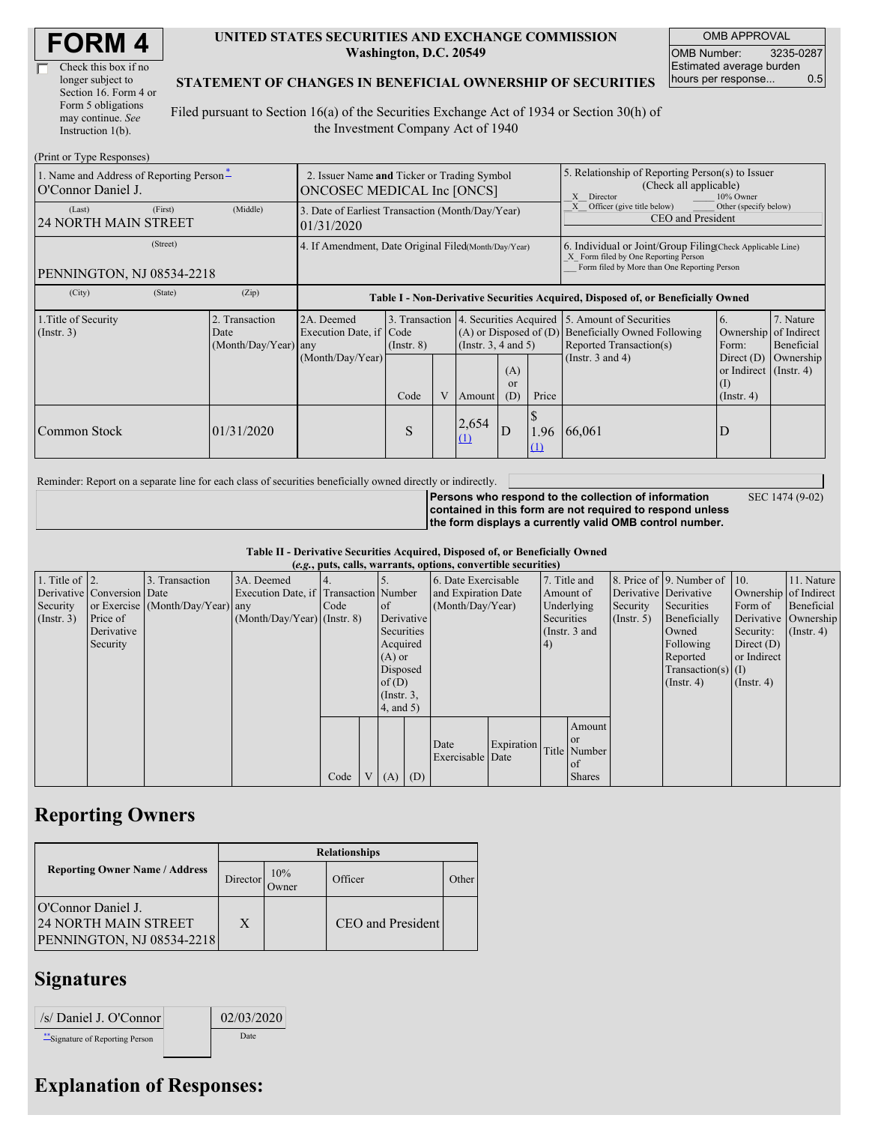| Check this box if no  |  |
|-----------------------|--|
| longer subject to     |  |
| Section 16. Form 4 or |  |
| Form 5 obligations    |  |
| may continue. See     |  |
| Instruction 1(b).     |  |

#### **UNITED STATES SECURITIES AND EXCHANGE COMMISSION Washington, D.C. 20549**

OMB APPROVAL OMB Number: 3235-0287 Estimated average burden hours per response... 0.5

SEC 1474 (9-02)

### **STATEMENT OF CHANGES IN BENEFICIAL OWNERSHIP OF SECURITIES**

Filed pursuant to Section 16(a) of the Securities Exchange Act of 1934 or Section 30(h) of the Investment Company Act of 1940

| (Print or Type Responses)                                      |                                                                           |                                                      |                                                                                  |                 |   |                                                                                                       |                         |                                                                                                                                                    |                                                                                                                                 |                                                                         |                         |  |
|----------------------------------------------------------------|---------------------------------------------------------------------------|------------------------------------------------------|----------------------------------------------------------------------------------|-----------------|---|-------------------------------------------------------------------------------------------------------|-------------------------|----------------------------------------------------------------------------------------------------------------------------------------------------|---------------------------------------------------------------------------------------------------------------------------------|-------------------------------------------------------------------------|-------------------------|--|
| 1. Name and Address of Reporting Person-<br>O'Connor Daniel J. | 2. Issuer Name and Ticker or Trading Symbol<br>ONCOSEC MEDICAL Inc [ONCS] |                                                      |                                                                                  |                 |   | 5. Relationship of Reporting Person(s) to Issuer<br>(Check all applicable)<br>10% Owner<br>X Director |                         |                                                                                                                                                    |                                                                                                                                 |                                                                         |                         |  |
| (Last)<br><b>24 NORTH MAIN STREET</b>                          | (First)                                                                   | (Middle)                                             | 3. Date of Earliest Transaction (Month/Day/Year)<br>01/31/2020                   |                 |   |                                                                                                       |                         |                                                                                                                                                    | Other (specify below)<br>Officer (give title below)<br>CEO and President                                                        |                                                                         |                         |  |
| PENNINGTON, NJ 08534-2218                                      |                                                                           | 4. If Amendment, Date Original Filed(Month/Day/Year) |                                                                                  |                 |   |                                                                                                       |                         | 6. Individual or Joint/Group Filing Check Applicable Line)<br>X Form filed by One Reporting Person<br>Form filed by More than One Reporting Person |                                                                                                                                 |                                                                         |                         |  |
| (City)                                                         | (State)                                                                   | (Zip)                                                | Table I - Non-Derivative Securities Acquired, Disposed of, or Beneficially Owned |                 |   |                                                                                                       |                         |                                                                                                                                                    |                                                                                                                                 |                                                                         |                         |  |
| 1. Title of Security<br>$($ Instr. 3 $)$                       |                                                                           | 2. Transaction<br>Date<br>(Month/Day/Year) any       | 2A. Deemed<br>Execution Date, if Code                                            | $($ Instr. $8)$ |   | $(A)$ or Disposed of $(D)$<br>(Insert. 3, 4 and 5)                                                    |                         |                                                                                                                                                    | 3. Transaction 4. Securities Acquired 5. Amount of Securities<br><b>Beneficially Owned Following</b><br>Reported Transaction(s) | 6.<br>Ownership of Indirect<br>Form:                                    | 7. Nature<br>Beneficial |  |
|                                                                |                                                                           |                                                      | (Month/Day/Year)                                                                 | Code            | V | Amount                                                                                                | (A)<br><b>or</b><br>(D) | Price                                                                                                                                              | (Instr. $3$ and $4$ )                                                                                                           | Direct $(D)$<br>or Indirect $($ Instr. 4 $)$<br>(I)<br>$($ Instr. 4 $)$ | Ownership               |  |
| Common Stock                                                   |                                                                           | 01/31/2020                                           |                                                                                  | S               |   | 2,654<br>(1)                                                                                          | D                       | D<br>1.96<br>$\Omega$                                                                                                                              | 66,061                                                                                                                          | D                                                                       |                         |  |

Reminder: Report on a separate line for each class of securities beneficially owned directly or indirectly.

**Persons who respond to the collection of information contained in this form are not required to respond unless the form displays a currently valid OMB control number.**

**Table II - Derivative Securities Acquired, Disposed of, or Beneficially Owned**

| (e.g., puts, calls, warrants, options, convertible securities) |                            |                                  |                                       |      |                |                 |                     |                     |            |            |               |                       |                          |                      |                  |          |            |         |            |
|----------------------------------------------------------------|----------------------------|----------------------------------|---------------------------------------|------|----------------|-----------------|---------------------|---------------------|------------|------------|---------------|-----------------------|--------------------------|----------------------|------------------|----------|------------|---------|------------|
| 1. Title of $\vert$ 2.                                         |                            | 3. Transaction                   | 3A. Deemed                            |      |                |                 |                     | 6. Date Exercisable |            |            | 7. Title and  |                       | 8. Price of 9. Number of | $\vert$ 10.          | 11. Nature       |          |            |         |            |
|                                                                | Derivative Conversion Date |                                  | Execution Date, if Transaction Number |      |                |                 | and Expiration Date |                     | Amount of  |            |               | Derivative Derivative | Ownership of Indirect    |                      |                  |          |            |         |            |
| Security                                                       |                            | or Exercise (Month/Day/Year) any |                                       | Code |                | of              |                     | (Month/Day/Year)    |            |            |               |                       |                          |                      | Underlying       | Security | Securities | Form of | Beneficial |
| (Insert. 3)                                                    | Price of                   |                                  | $(Month/Day/Year)$ (Instr. 8)         |      |                |                 | Derivative          |                     |            | Securities |               | $($ Instr. 5)         | Beneficially             | Derivative Ownership |                  |          |            |         |            |
|                                                                | Derivative                 |                                  |                                       |      |                | Securities      |                     |                     |            |            | (Instr. 3 and |                       | Owned                    | Security:            | $($ Instr. 4 $)$ |          |            |         |            |
|                                                                | Security                   |                                  |                                       |      |                | Acquired        |                     |                     |            | 4)         |               |                       | Following                | Direct $(D)$         |                  |          |            |         |            |
|                                                                |                            |                                  |                                       |      |                | $(A)$ or        |                     |                     |            |            |               |                       | Reported                 | or Indirect          |                  |          |            |         |            |
|                                                                |                            |                                  |                                       |      |                | Disposed        |                     |                     |            |            |               |                       | Transaction(s) $(I)$     |                      |                  |          |            |         |            |
|                                                                |                            |                                  |                                       |      |                | of $(D)$        |                     |                     |            |            |               |                       | $($ Instr. 4 $)$         | $($ Instr. 4 $)$     |                  |          |            |         |            |
|                                                                |                            |                                  |                                       |      |                | $($ Instr. $3,$ |                     |                     |            |            |               |                       |                          |                      |                  |          |            |         |            |
|                                                                |                            |                                  |                                       |      |                | $4$ , and $5$ ) |                     |                     |            |            |               |                       |                          |                      |                  |          |            |         |            |
|                                                                |                            |                                  |                                       |      |                |                 |                     |                     |            |            | Amount        |                       |                          |                      |                  |          |            |         |            |
|                                                                |                            |                                  |                                       |      |                |                 |                     |                     |            |            | <sub>or</sub> |                       |                          |                      |                  |          |            |         |            |
|                                                                |                            |                                  |                                       |      |                |                 |                     | Date                | Expiration |            | Title Number  |                       |                          |                      |                  |          |            |         |            |
|                                                                |                            |                                  |                                       |      |                |                 |                     | Exercisable Date    |            |            | of            |                       |                          |                      |                  |          |            |         |            |
|                                                                |                            |                                  |                                       | Code | V <sub>1</sub> | (A)             | (D)                 |                     |            |            | <b>Shares</b> |                       |                          |                      |                  |          |            |         |            |

### **Reporting Owners**

|                                                                                       | <b>Relationships</b> |              |                   |       |  |  |  |  |
|---------------------------------------------------------------------------------------|----------------------|--------------|-------------------|-------|--|--|--|--|
| <b>Reporting Owner Name / Address</b>                                                 | Director             | 10%<br>Jwner | Officer           | Other |  |  |  |  |
| O'Connor Daniel J.<br><b>24 NORTH MAIN STREET</b><br><b>PENNINGTON, NJ 08534-2218</b> | X                    |              | CEO and President |       |  |  |  |  |

## **Signatures**

| /s/ Daniel J. O'Connor          | 02/03/2020 |
|---------------------------------|------------|
| **Signature of Reporting Person | Date       |

# **Explanation of Responses:**